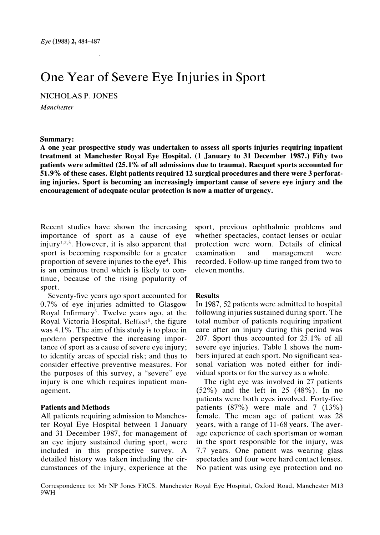# One Year of Severe Eye Injuries in Sport

NICHOLAS P. JONES

Manchester

### Summary:

A one year prospective study was undertaken to assess all sports injuries requiring inpatient treatment at Manchester Royal Eye Hospital. (1 January to 31 December 1987.) Fifty two patients were admitted (25.1 % of all admissions due to trauma). Racquet sports accounted for 51.9% of these cases. Eight patients required 12 surgical procedures and there were 3 perforating injuries. Sport is becoming an increasingly important cause of severe eye injury and the encouragement of adequate ocular protection is now a matter of urgency.

Recent studies have shown the increasing importance of sport as a cause of eye injury<sup>1,2,3</sup>. However, it is also apparent that sport is becoming responsible for a greater proportion of severe injuries to the  $e^4$ . This is an ominous trend which is likely to continue, because of the rising popularity of sport.

Seventy-five years ago sport accounted for  $0.7\%$  of eye injuries admitted to Glasgow Royal Infirmary<sup>5</sup>. Twelve years ago, at the Royal Victoria Hospital, Belfast<sup>6</sup>, the figure was  $4.1\%$ . The aim of this study is to place in modern perspective the increasing importance of sport as a cause of severe eye injury; to identify areas of special risk; and thus to consider effective preventive measures. For the purposes of this survey, a "severe" eye injury is one which requires inpatient management.

## Patients and Methods

All patients requiring admission to Manchester Royal Eye Hospital between 1 January and 31 December 1987, for management of an eye injury sustained during sport, were included in this prospective survey. A detailed history was taken including the circumstances of the injury, experience at the

sport, previous ophthalmic problems and whether spectacles, contact lenses or ocular protection were worn. Details of clinical examination an nd management were recorded. Follow-up time ranged from two to eleven months.

#### Results

In 1987, 52 patients were admitted to hospital following injuries sustained during sport. The total number of patients requiring inpatient care after an injury during this period was  $207$ . Sport thus accounted for  $25.1\%$  of all severe eye injuries. Table 1 shows the numbers injured at each sport. No significant seasonal variation was noted either for individual sports or for the survey as a whole.

The right eye was involved in 27 patients  $(52\%)$  and the left in 25  $(48\%)$ . In no patients were both eyes involved. Forty-five patients  $(87\%)$  were male and 7  $(13\%)$ female. The mean age of patient was  $28$ years, with a range of 11-68 years. The average experience of each sportsman or woman in the sport responsible for the injury, was 7.7 years. One patient was wearing glass spectacles and four wore hard contact lenses. No patient was using eye protection and no

Correspondence to: Mr NP Jones FRCS. Manchester Royal Eye Hospital, Oxford Road, Manchester M13 9WH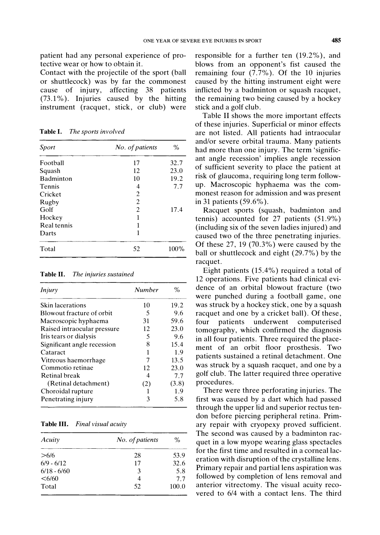patient had any personal experience of protective wear or how to obtain it.

Contact with the projectile of the sport (ball or shuttlecock) was by far the commonest cause of injury, affecting 38 patients  $(73.1\%)$ . Injuries caused by the hitting instrument (racquet, stick, or club) were

Table I. The sports involved

| Sport       | No. of patients | $\%$ |
|-------------|-----------------|------|
| Football    | 17              | 32.7 |
| Squash      | 12              | 23.0 |
| Badminton   | 10              | 19.2 |
| Tennis      | 4               | 7.7  |
| Cricket     | 2               |      |
| Rugby       | $\overline{c}$  |      |
| Golf        | $\overline{c}$  | 17.4 |
| Hockey      | 1               |      |
| Real tennis | 1               |      |
| Darts       | 1               |      |
| Total       | 52              | 100% |

Table II. The injuries sustained

| Injury                      | <b>Number</b> | $\%$  |  |
|-----------------------------|---------------|-------|--|
| Skin lacerations            | 10            | 19.2  |  |
| Blowout fracture of orbit   | 5             | 9.6   |  |
| Macroscopic hyphaema        | 31            | 59.6  |  |
| Raised intraocular pressure | 12            | 23.0  |  |
| Iris tears or dialysis      | 5             | 9.6   |  |
| Significant angle recession | 8             | 15.4  |  |
| Cataract                    | 1             | 1.9   |  |
| Vitreous haemorrhage        | 7             | 13.5  |  |
| Commotio retinae            | 12            | 23.0  |  |
| Retinal break               | 4             | 7.7   |  |
| (Retinal detachment)        | (2)           | (3.8) |  |
| Choroidal rupture           |               | 1.9   |  |
| Penetrating injury          | 3             | 5.8   |  |

| Final visual acuity<br>Table III. |
|-----------------------------------|
|-----------------------------------|

| Acuity          | No. of patients | $\%$  |
|-----------------|-----------------|-------|
| >6/6            | 28              | 53.9  |
| $6/9 - 6/12$    | 17              | 32.6  |
| $6/18 - 6/60$   | 3               | 5.8   |
| $<\frac{6}{60}$ | 4               | 7.7   |
| Total           | 52              | 100.0 |

responsible for a further ten  $(19.2\%)$ , and blows from an opponent's fist caused the remaining four  $(7.7\%)$ . Of the 10 injuries caused by the hitting instrument eight were inflicted by a badminton or squash racquet, the remaining two being caused by a hockey stick and a golf club.

Table II shows the more important effects of these injuries. Superficial or minor effects are not listed. All patients had intraocular and/or severe orbital trauma. Many patients had more than one injury. The term 'significant angle recession' implies angle recession of sufficient severity to place the patient at risk of glaucoma, requiring long term followup. Macroscopic hyphaema was the commonest reason for admission and was present in 31 patients  $(59.6\%)$ .

Racquet sports (squash, badminton and tennis) accounted for 27 patients  $(51.9\%)$ (including six of the seven ladies injured) and caused two of the three penetrating injuries. Of these  $27, 19$  (70.3%) were caused by the ball or shuttlecock and eight (29.7%) by the racquet.

Eight patients  $(15.4\%)$  required a total of 12 operations. Five patients had clinical evidence of an orbital blowout fracture (two were punched during a football game, one was struck by a hockey stick, one by a squash racquet and one by a cricket ball). Of these, four tients underwent computerised tomography, which confirmed the diagnosis in all four patients. Three required the placement of an orbit floor prosthesis. Two patients sustained a retinal detachment. One was struck by a squash racquet, and one by a golf club. The latter required three operative procedures.

There were three perforating injuries. The first was caused by a dart which had passed through the upper lid and superior rectus tendon before piercing peripheral retina. Primary repair with cryopexy proved sufficient. The second was caused by a badminton racquet in a low myope wearing glass spectacles for the first time and resulted in a corneal laceration with disruption of the crystalline lens. Primary repair and partial lens aspiration was followed by completion of lens removal and anterior vitrectomy. The visual acuity recovered to 6/4 with a contact lens. The third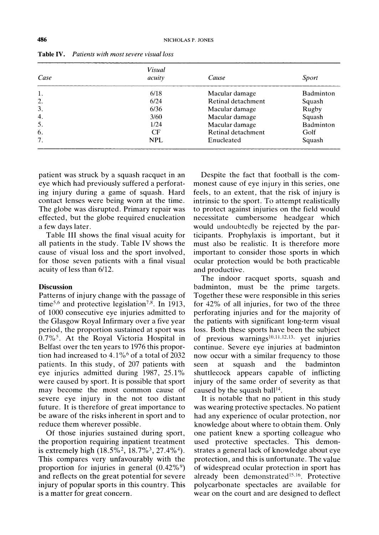| Case             | Visual<br>acuity | Cause              | Sport     |
|------------------|------------------|--------------------|-----------|
|                  |                  |                    |           |
| 1.               | 6/18             | Macular damage     | Badminton |
| 2.               | 6/24             | Retinal detachment | Squash    |
| 3.               | 6/36             | Macular damage     | Rugby     |
| $\overline{4}$ . | 3/60             | Macular damage     | Squash    |
| 5.               | 1/24             | Macular damage     | Badminton |
| 6.               | CF               | Retinal detachment | Golf      |
| 7.               | <b>NPL</b>       | Enucleated         | Squash    |

Table IV. Patients with most severe visual loss

patient was struck by a squash racquet in an eye which had previously suffered a perforating injury during a game of squash. Hard contact lenses were being worn at the time. The globe was disrupted. Primary repair was effected, but the globe required enucleation a few days later.

Table III shows the final visual acuity for all patients in the study. Table IV shows the cause of visual loss and the sport involved, for those seven patients with a final visual acuity of less than 6/12.

#### **Discussion**

Patterns of injury change with the passage of time<sup>5,6</sup> and protective legislation<sup>7,8</sup>. In 1913, of 1000 consecutive eye injuries admitted to the Glasgow Royal Infirmary over a five year period, the proportion sustained at sport was 0.7%<sup>5</sup>. At the Royal Victoria Hospital in Belfast over the ten years to 1976 this proportion had increased to  $4.1\%$ <sup>6</sup> of a total of 2032 patients. In this study, of 207 patients with eye injuries admitted during 1987, 25.1% were caused by sport. It is possible that sport may become the most common cause of severe eye injury in the not too distant future. It is therefore of great importance to be aware of the risks inherent in sport and to reduce them wherever possible.

Of those injuries sustained during sport, the proportion requiring inpatient treatment is extremely high  $(18.5\%^2, 18.7\%^3, 27.4\%^4)$ . This compares very unfavourably with the proportion for injuries in general  $(0.42\%)$ and reflects on the great potential for severe injury of popular sports in this country. This is a matter for great concern.

Despite the fact that football is the commonest cause of eye injury in this series, one feels, to an extent, that the risk of injury is intrinsic to the sport. To attempt realistically to protect against injuries on the field would necessitate cumbersome headgear which would undoubtedly be rejected by the participants. Prophylaxis is important, but it must also be realistic. It is therefore more important to consider those sports in which ocular protection would be both practicable and productive.

The indoor racquet sports, squash and badminton, must be the prime targets. To gether these were responsible in this series for  $42\%$  of all injuries, for two of the three perforating injuries and for the majority of the patients with significant long-term visual loss. Both these sports have been the subject of previous warnings $^{10,11,12,13}$ , yet injuries continue. Severe eye injuries at badminton now occur with a similar frequency to those seen at squash and the badminton shuttlecock appears capable of inflicting injury of the same order of severity as that caused by the squash ball<sup>14</sup>.

It is notable that no patient in this study was wearing protective spectacles. No patient had any experience of ocular protection, nor knowledge about where to obtain them. Only one patient knew a sporting colleague who used protective spectacles. This demonstrates a general lack of knowledge about eye protection, and this is unfortunate. The value of widespread ocular protection in sport has already been demonstrated<sup>15,16</sup>. Protective polycarbonate spectacles are available for wear on the court and are designed to deflect